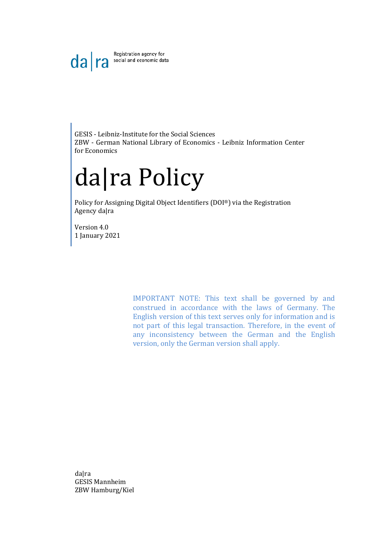Registration agency for  $da|ra$ social and economic data

GESIS - Leibniz-Institute for the Social Sciences ZBW - German National Library of Economics - Leibniz Information Center for Economics

# da|ra Policy

Policy for Assigning Digital Object Identifiers (DOI®) via the Registration Agency da|ra

Version 4.0 1 January 2021

> IMPORTANT NOTE: This text shall be governed by and construed in accordance with the laws of Germany. The English version of this text serves only for information and is not part of this legal transaction. Therefore, in the event of any inconsistency between the German and the English version, only the German version shall apply.

da|ra GESIS Mannheim ZBW Hamburg/Kiel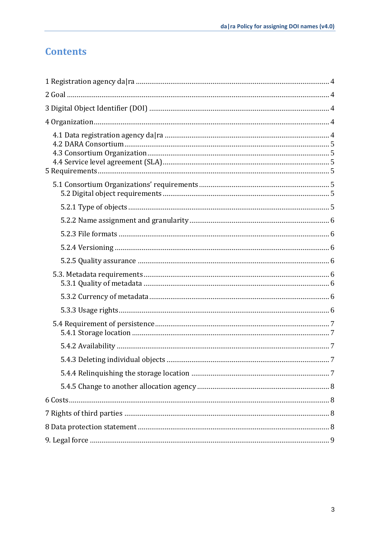## **Contents**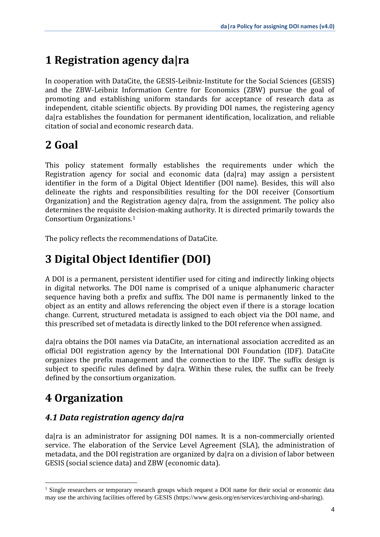# <span id="page-3-0"></span>**1 Registration agency da|ra**

In cooperation with DataCite, the GESIS-Leibniz-Institute for the Social Sciences (GESIS) and the ZBW-Leibniz Information Centre for Economics (ZBW) pursue the goal of promoting and establishing uniform standards for acceptance of research data as independent, citable scientific objects. By providing DOI names, the registering agency dalra establishes the foundation for permanent identification, localization, and reliable citation of social and economic research data.

## <span id="page-3-1"></span>**2 Goal**

This policy statement formally establishes the requirements under which the Registration agency for social and economic data (da|ra) may assign a persistent identifier in the form of a Digital Object Identifier (DOI name). Besides, this will also delineate the rights and responsibilities resulting for the DOI receiver (Consortium Organization) and the Registration agency da|ra, from the assignment. The policy also determines the requisite decision-making authority. It is directed primarily towards the Consortium Organizations. 1

The policy reflects the recommendations of DataCite.

# <span id="page-3-2"></span>**3 Digital Object Identifier (DOI)**

A DOI is a permanent, persistent identifier used for citing and indirectly linking objects in digital networks. The DOI name is comprised of a unique alphanumeric character sequence having both a prefix and suffix. The DOI name is permanently linked to the object as an entity and allows referencing the object even if there is a storage location change. Current, structured metadata is assigned to each object via the DOI name, and this prescribed set of metadata is directly linked to the DOI reference when assigned.

da|ra obtains the DOI names via DataCite, an international association accredited as an official DOI registration agency by the International DOI Foundation (IDF). DataCite organizes the prefix management and the connection to the IDF. The suffix design is subject to specific rules defined by da|ra. Within these rules, the suffix can be freely defined by the consortium organization.

# <span id="page-3-3"></span>**4 Organization**

#### <span id="page-3-4"></span>*4.1 Data registration agency da|ra*

dalra is an administrator for assigning DOI names. It is a non-commercially oriented service. The elaboration of the Service Level Agreement (SLA), the administration of metadata, and the DOI registration are organized by da|ra on a division of labor between GESIS (social science data) and ZBW (economic data).

<sup>&</sup>lt;sup>1</sup> Single researchers or temporary research groups which request a DOI name for their social or economic data may use the archiving facilities offered by GESIS (https://www.gesis.org/en/services/archiving-and-sharing).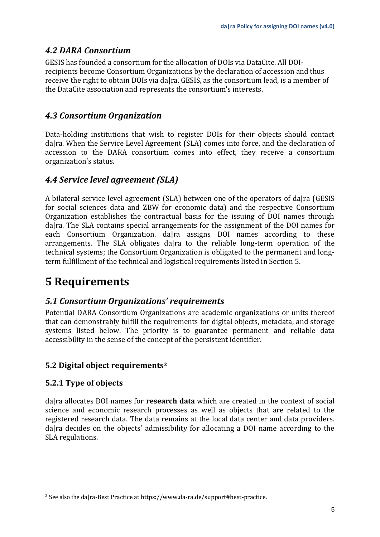#### <span id="page-4-0"></span>*4.2 DARA Consortium*

GESIS has founded a consortium for the allocation of DOIs via DataCite. All DOIrecipients become Consortium Organizations by the declaration of accession and thus receive the right to obtain DOIs via da|ra. GESIS, as the consortium lead, is a member of the DataCite association and represents the consortium's interests.

#### <span id="page-4-1"></span>*4.3 Consortium Organization*

Data-holding institutions that wish to register DOIs for their objects should contact dalra. When the Service Level Agreement (SLA) comes into force, and the declaration of accession to the DARA consortium comes into effect, they receive a consortium organization's status.

#### <span id="page-4-2"></span>*4.4 Service level agreement (SLA)*

A bilateral service level agreement (SLA) between one of the operators of da|ra (GESIS for social sciences data and ZBW for economic data) and the respective Consortium Organization establishes the contractual basis for the issuing of DOI names through da|ra. The SLA contains special arrangements for the assignment of the DOI names for each Consortium Organization, dalra assigns DOI names according to these arrangements. The SLA obligates da|ra to the reliable long-term operation of the technical systems; the Consortium Organization is obligated to the permanent and longterm fulfillment of the technical and logistical requirements listed in Section 5.

## <span id="page-4-3"></span>**5 Requirements**

#### <span id="page-4-4"></span>*5.1 Consortium Organizations' requirements*

Potential DARA Consortium Organizations are academic organizations or units thereof that can demonstrably fulfill the requirements for digital objects, metadata, and storage systems listed below. The priority is to guarantee permanent and reliable data accessibility in the sense of the concept of the persistent identifier.

#### <span id="page-4-5"></span>**5.2 Digital object requirements<sup>2</sup>**

#### <span id="page-4-6"></span>**5.2.1 Type of objects**

dalra allocates DOI names for **research data** which are created in the context of social science and economic research processes as well as objects that are related to the registered research data. The data remains at the local data center and data providers. da|ra decides on the objects' admissibility for allocating a DOI name according to the SLA regulations.

<sup>2</sup> See also the da|ra-Best Practice at https://www.da-ra.de/support#best-practice.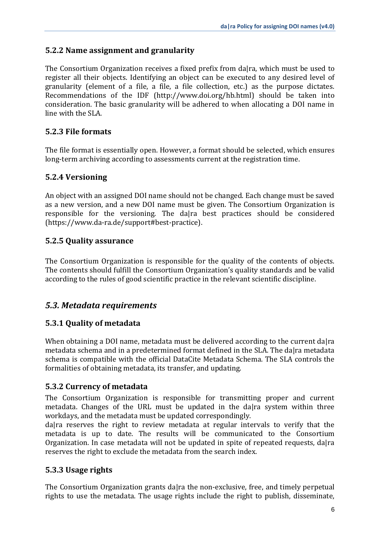#### <span id="page-5-0"></span>**5.2.2 Name assignment and granularity**

The Consortium Organization receives a fixed prefix from da|ra, which must be used to register all their objects. Identifying an object can be executed to any desired level of granularity (element of a file, a file, a file collection, etc.) as the purpose dictates. Recommendations of the IDF (http://www.doi.org/hb.html) should be taken into consideration. The basic granularity will be adhered to when allocating a DOI name in line with the SLA.

#### <span id="page-5-1"></span>**5.2.3 File formats**

The file format is essentially open. However, a format should be selected, which ensures long-term archiving according to assessments current at the registration time.

#### <span id="page-5-2"></span>**5.2.4 Versioning**

An object with an assigned DOI name should not be changed. Each change must be saved as a new version, and a new DOI name must be given. The Consortium Organization is responsible for the versioning. The da|ra best practices should be considered (https://www.da-ra.de/support#best-practice).

#### <span id="page-5-3"></span>**5.2.5 Quality assurance**

The Consortium Organization is responsible for the quality of the contents of objects. The contents should fulfill the Consortium Organization's quality standards and be valid according to the rules of good scientific practice in the relevant scientific discipline.

#### <span id="page-5-4"></span>*5.3. Metadata requirements*

#### <span id="page-5-5"></span>**5.3.1 Quality of metadata**

When obtaining a DOI name, metadata must be delivered according to the current dalra metadata schema and in a predetermined format defined in the SLA. The da|ra metadata schema is compatible with the official DataCite Metadata Schema. The SLA controls the formalities of obtaining metadata, its transfer, and updating.

#### <span id="page-5-6"></span>**5.3.2 Currency of metadata**

The Consortium Organization is responsible for transmitting proper and current metadata. Changes of the URL must be updated in the da|ra system within three workdays, and the metadata must be updated correspondingly.

da|ra reserves the right to review metadata at regular intervals to verify that the metadata is up to date. The results will be communicated to the Consortium Organization. In case metadata will not be updated in spite of repeated requests, da|ra reserves the right to exclude the metadata from the search index.

#### <span id="page-5-7"></span>**5.3.3 Usage rights**

The Consortium Organization grants da|ra the non-exclusive, free, and timely perpetual rights to use the metadata. The usage rights include the right to publish, disseminate,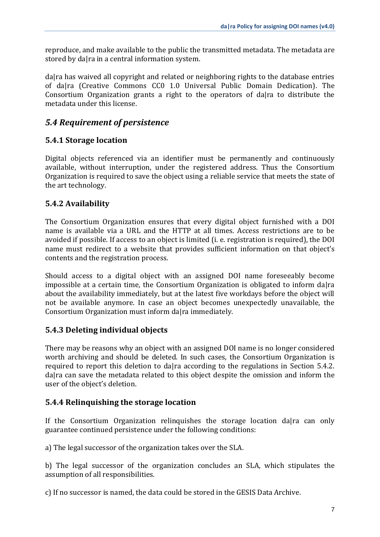reproduce, and make available to the public the transmitted metadata. The metadata are stored by da|ra in a central information system.

da|ra has waived all copyright and related or neighboring rights to the database entries of da|ra (Creative Commons CC0 1.0 Universal Public Domain Dedication). The Consortium Organization grants a right to the operators of da|ra to distribute the metadata under this license.

#### <span id="page-6-0"></span>*5.4 Requirement of persistence*

#### <span id="page-6-1"></span>**5.4.1 Storage location**

Digital objects referenced via an identifier must be permanently and continuously available, without interruption, under the registered address. Thus the Consortium Organization is required to save the object using a reliable service that meets the state of the art technology.

#### <span id="page-6-2"></span>**5.4.2 Availability**

The Consortium Organization ensures that every digital object furnished with a DOI name is available via a URL and the HTTP at all times. Access restrictions are to be avoided if possible. If access to an object is limited (i. e. registration is required), the DOI name must redirect to a website that provides sufficient information on that object's contents and the registration process.

Should access to a digital object with an assigned DOI name foreseeably become impossible at a certain time, the Consortium Organization is obligated to inform dalra about the availability immediately, but at the latest five workdays before the object will not be available anymore. In case an object becomes unexpectedly unavailable, the Consortium Organization must inform da|ra immediately.

#### <span id="page-6-3"></span>**5.4.3 Deleting individual objects**

There may be reasons why an object with an assigned DOI name is no longer considered worth archiving and should be deleted. In such cases, the Consortium Organization is required to report this deletion to da|ra according to the regulations in Section 5.4.2. da|ra can save the metadata related to this object despite the omission and inform the user of the object's deletion.

#### <span id="page-6-4"></span>**5.4.4 Relinquishing the storage location**

If the Consortium Organization relinquishes the storage location da|ra can only guarantee continued persistence under the following conditions:

a) The legal successor of the organization takes over the SLA.

b) The legal successor of the organization concludes an SLA, which stipulates the assumption of all responsibilities.

c) If no successor is named, the data could be stored in the GESIS Data Archive.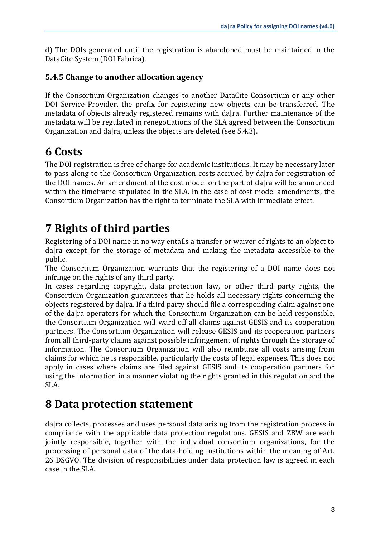d) The DOIs generated until the registration is abandoned must be maintained in the DataCite System (DOI Fabrica).

#### <span id="page-7-0"></span>**5.4.5 Change to another allocation agency**

If the Consortium Organization changes to another DataCite Consortium or any other DOI Service Provider, the prefix for registering new objects can be transferred. The metadata of objects already registered remains with da|ra. Further maintenance of the metadata will be regulated in renegotiations of the SLA agreed between the Consortium Organization and da|ra, unless the objects are deleted (see 5.4.3).

## <span id="page-7-1"></span>**6 Costs**

The DOI registration is free of charge for academic institutions. It may be necessary later to pass along to the Consortium Organization costs accrued by da|ra for registration of the DOI names. An amendment of the cost model on the part of da|ra will be announced within the timeframe stipulated in the SLA. In the case of cost model amendments, the Consortium Organization has the right to terminate the SLA with immediate effect.

## <span id="page-7-2"></span>**7 Rights of third parties**

Registering of a DOI name in no way entails a transfer or waiver of rights to an object to da|ra except for the storage of metadata and making the metadata accessible to the public.

The Consortium Organization warrants that the registering of a DOI name does not infringe on the rights of any third party.

In cases regarding copyright, data protection law, or other third party rights, the Consortium Organization guarantees that he holds all necessary rights concerning the objects registered by da|ra. If a third party should file a corresponding claim against one of the da|ra operators for which the Consortium Organization can be held responsible, the Consortium Organization will ward off all claims against GESIS and its cooperation partners. The Consortium Organization will release GESIS and its cooperation partners from all third-party claims against possible infringement of rights through the storage of information. The Consortium Organization will also reimburse all costs arising from claims for which he is responsible, particularly the costs of legal expenses. This does not apply in cases where claims are filed against GESIS and its cooperation partners for using the information in a manner violating the rights granted in this regulation and the SLA.

### <span id="page-7-3"></span>**8 Data protection statement**

dalra collects, processes and uses personal data arising from the registration process in compliance with the applicable data protection regulations. GESIS and ZBW are each jointly responsible, together with the individual consortium organizations, for the processing of personal data of the data-holding institutions within the meaning of Art. 26 DSGVO. The division of responsibilities under data protection law is agreed in each case in the SLA.